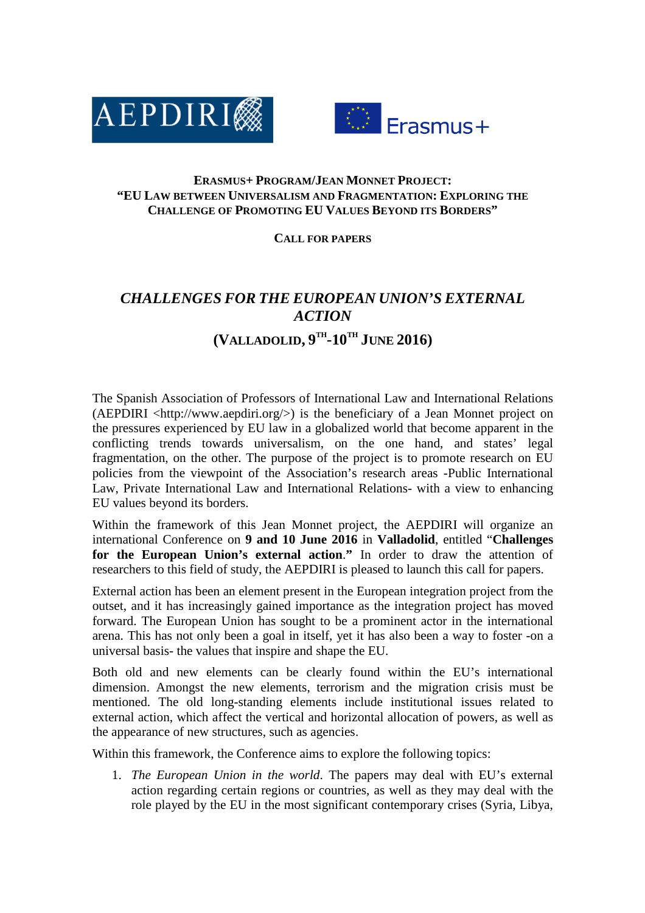



## **ERASMUS+ PROGRAM/JEAN MONNET PROJECT: "EU LAW BETWEEN UNIVERSALISM AND FRAGMENTATION: EXPLORING THE CHALLENGE OF PROMOTING EU VALUES BEYOND ITS BORDERS"**

## **CALL FOR PAPERS**

## *CHALLENGES FOR THE EUROPEAN UNION'S EXTERNAL ACTION*  **(VALLADOLID, 9 TH-10TH JUNE 2016)**

The Spanish Association of Professors of International Law and International Relations  $(AEPDIRI < http://www.aepdiri.org/>)$  is the beneficiary of a Jean Monnet project on the pressures experienced by EU law in a globalized world that become apparent in the conflicting trends towards universalism, on the one hand, and states' legal fragmentation, on the other. The purpose of the project is to promote research on EU policies from the viewpoint of the Association's research areas -Public International Law, Private International Law and International Relations- with a view to enhancing EU values beyond its borders.

Within the framework of this Jean Monnet project, the AEPDIRI will organize an international Conference on **9 and 10 June 2016** in **Valladolid**, entitled "**Challenges for the European Union's external action**.**"** In order to draw the attention of researchers to this field of study, the AEPDIRI is pleased to launch this call for papers.

External action has been an element present in the European integration project from the outset, and it has increasingly gained importance as the integration project has moved forward. The European Union has sought to be a prominent actor in the international arena. This has not only been a goal in itself, yet it has also been a way to foster -on a universal basis- the values that inspire and shape the EU.

Both old and new elements can be clearly found within the EU's international dimension. Amongst the new elements, terrorism and the migration crisis must be mentioned. The old long-standing elements include institutional issues related to external action, which affect the vertical and horizontal allocation of powers, as well as the appearance of new structures, such as agencies.

Within this framework, the Conference aims to explore the following topics:

1. *The European Union in the world*. The papers may deal with EU's external action regarding certain regions or countries, as well as they may deal with the role played by the EU in the most significant contemporary crises (Syria, Libya,